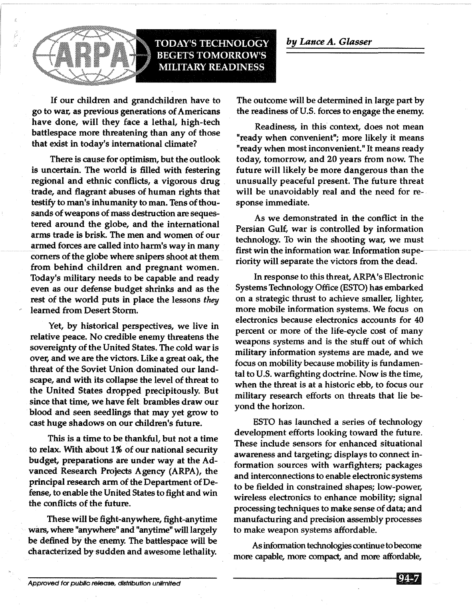



**TODAY'S TECHNOLOGY BEGETS TOMORROW'S MILITARY READINESS** 

If our children and grandchildren have to go to war, as previous generations of Americans have done, will they face a lethal, high-tech battlespace more threatening than any of those that exist in today's international climate?

There is cause for optimism, but the outlook is uncertain. The world is filled with festering regional and ethnic conflicts, a vigorous drug trade, and flagrant abuses of human rights that testify to man's inhumanity to man. Tens of thousands of weapons of mass destruction are sequestered around the globe, and the international arms trade is brisk. The men and women of our armed forces are called into harm's way in many comers of the globe where snipers shoot at them from behind children and pregnant women. Today's military needs to be capable and ready even as our defense budget shrinks and as the rest of the world puts in place the lessons *they*  , learned from Desert Storm.

Yet, by historical perspectives, we live in relative peace. No credible enemy threatens the sovereignty of the United States. The cold war is over, and we are the victors. Like a great oak, the threat of the Soviet Union dominated our landscape, and with its collapse the level of threat to the United States dropped precipitously. But since that time, we have felt brambles draw our blood and seen seedlings that may yet grow to cast huge shadows on our children's future.

This is a time to be thankful, but not a time to relax. With about 1% of our national security budget, preparations are under way at the Advanced Research Projects Agency (ARPA), the principal research arm of the Department of Defense, to enable the United States to fight and win the conflicts of the future.

These will be fight-anywhere, fight-anytime wars, where "anywhere" and "anytime" will largely be defined by the enemy. The battlespace will be characterized by sudden and awesome lethality.

The outcome will be determined in large part by the readiness of U.S. forces to engage the enemy.

Readiness, in this' context, does not mean "ready when convenient"; more likely it means "ready when most inconvenient." It means ready today, tomorrow, and 20 years from now. The future will likely be more dangerous than the unusually peaceful present. The future threat will be unavoidably real and the need for response immediate.

As we demonstrated in the conflict in the Persian Gulf, war is controlled by information technology. To win the shooting war, we must first win the information war. Information superiority will separate the victors from the dead.

In response to this threat, ARPA's Electronic Systems Technology Office (ESTO) has embarked on a strategic thrust to achieve smaller, lighter, more mobile information systems. We focus on electronics because electronics accounts for 40 percent or more of the life-eycle cost of many weapons systems and is the stuff out of which military information systems are made, and we focus on mobility because mobility is fundamental to U.S. warfighting doctrine. Now is the time, when the threat is at a historic ebb, to focus our military research efforts on threats that lie beyond the horizon.

ESTO has launched a series of technology development efforts looking toward the future. These include sensors for enhanced situational awareness and targeting; displays to connect information sources with warfighters; packages and interconnections to enable electronic systems to be fielded in constrained shapes; low-power, wireless electronics to enhance mobility; signal processing techniques to make sense of data; and manufacturing and precision assembly processes to make weapon systems affordable.

As information technologies continue to become more capable, more compact, and more affordable,

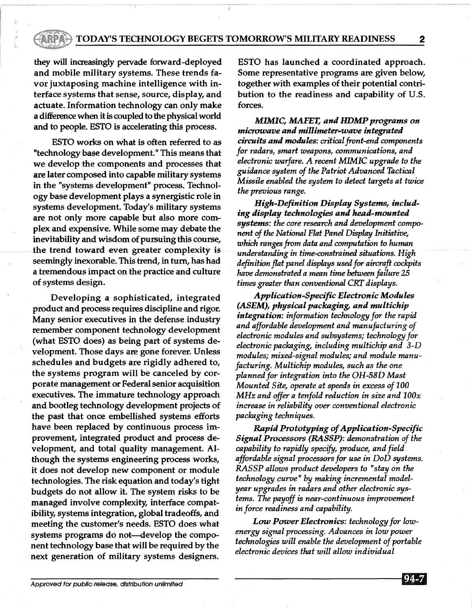## ", .. . . ) TODAY'S TECHNOLOGY BEGETS TOMORROW'S MILITARY READINESS **2**

they will increasingly pervade forward-deployed and mobile military systems. These trends favor juxtaposing machine intelligence with interface systems that sense, source, display, and actuate. Information technology can only make a difference when it is coupled to the physical world and to people. ESTO is accelerating this process.

"~'~')~~:~:;-~:~~~~~~,

ESTO works on what is often referred to as "technology base development." This means that we develop the components and processes that are later composed into capable military systems in the "systems development" process. Technology base development plays a synergistic role in systems development. Today's military systems are not only more capable but also more complex and expensive. While some may debate the inevitability and wisdom of pursuing this course, the trend toward even greater complexity is seemingly inexorable. This trend, in tum, has had a tremendous impact on the practice and culture of systems design.

Developing a sophisticated, integrated product and process requires discipline and rigor. Many senior executives in the defense industry remember component technology development (what ESTO does) as being part of systems development. Those days are gone forever. Unless schedules and budgets are rigidly adhered to, the systems program will be canceled by corporate management or Federal senior acquisition executives. The immature technology approach and bootleg technology development projects of the past that once embellished systems efforts have been replaced by continuous process improvement, integrated product and process development, and total quality management. Although the systems engineering process works, it does not develop new component or module technologies. The risk equation and today's tight budgets do not allow it. The system risks to be managed involve complexity, interface compatibility, systems integration, global tradeoffs, and meeting the customer's needs. ESTO does what systems programs do not-develop the component technology base that will be required by the next generation of military systems designers.

ESTO has launched a coordinated approach. Some representative programs are given below, together with examples of their potential contribution to the readiness and capability of U.S. forces.

*MIMIC, MAFET, and HDMP programs on microwave and millimeter-wave integrated circuits and modules: critical front-end components for radars, smart weapons, communications, and electronic warfare. A recent MIMIC upgrade to the guidance system of the Patriot Advanced Tactical Missile enabled the system to detect targets at twice the previous range.* 

*High-Definition Display Systems, including display technologies and head-mounted systems: the core research and development component of the National Flat Panel Display Initiative, which ranges from data and computation to human understanding in time-constrained situations. High definition flat panel displays used for aircraft cockpits have demonstrated a mean time between failure 25 times greater than conventional CRT displays.* 

*Application-Specific Electronic Modules (ASEM), physical packaging, and multichip integration: information technology for the rapid and affordable development and manufacturing of electronic modules and subsystems; technology for electronic packaging, including multichip and 3-D modules; mixed-signal modules; and module manufacturing. Multichip modules, such as the one planned for integration into the OH-58D Mast Mounted Site, operate at speeds in excess of 100 MHz and offer a tenfold reduction in size and 100x increase in reliability over conventional electronic packaging techniques.* 

*Rapid Prototyping of Application-Specific Signal Processors (RASSP): demonstration of the capability to rapidly specify, produce, and field affordable signal processors for use in DoD systems. RASSP allows product developers to "stay on the technology curve" by making incremental modelyear upgrades in radars and other electronic systems. The payoff is near-continuous improvement in force readiness and capability.* 

*Low Power Electronics: technology for lowenergy signal processing. Advances in low power technologies will enable the development of portable electronic devices that will allow individual* 

Plt4